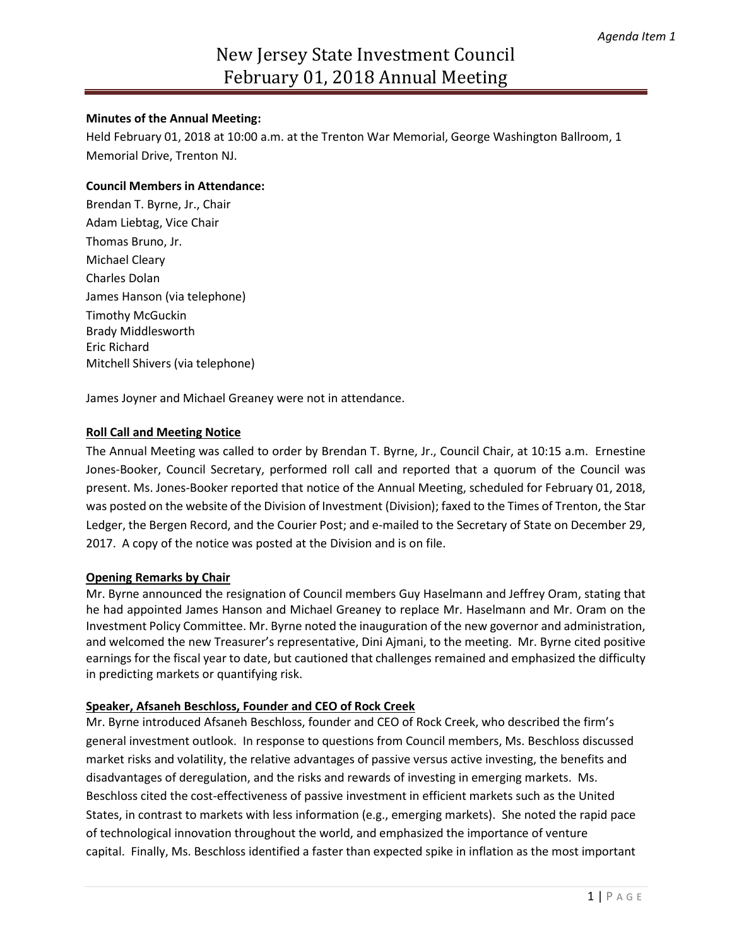# New Jersey State Investment Council February 01, 2018 Annual Meeting

## **Minutes of the Annual Meeting:**

Held February 01, 2018 at 10:00 a.m. at the Trenton War Memorial, George Washington Ballroom, 1 Memorial Drive, Trenton NJ.

## **Council Members in Attendance:**

Brendan T. Byrne, Jr., Chair Adam Liebtag, Vice Chair Thomas Bruno, Jr. Michael Cleary Charles Dolan James Hanson (via telephone) Timothy McGuckin Brady Middlesworth Eric Richard Mitchell Shivers (via telephone)

James Joyner and Michael Greaney were not in attendance.

## **Roll Call and Meeting Notice**

The Annual Meeting was called to order by Brendan T. Byrne, Jr., Council Chair, at 10:15 a.m. Ernestine Jones-Booker, Council Secretary, performed roll call and reported that a quorum of the Council was present. Ms. Jones-Booker reported that notice of the Annual Meeting, scheduled for February 01, 2018, was posted on the website of the Division of Investment (Division); faxed to the Times of Trenton, the Star Ledger, the Bergen Record, and the Courier Post; and e-mailed to the Secretary of State on December 29, 2017. A copy of the notice was posted at the Division and is on file.

#### **Opening Remarks by Chair**

Mr. Byrne announced the resignation of Council members Guy Haselmann and Jeffrey Oram, stating that he had appointed James Hanson and Michael Greaney to replace Mr. Haselmann and Mr. Oram on the Investment Policy Committee. Mr. Byrne noted the inauguration of the new governor and administration, and welcomed the new Treasurer's representative, Dini Ajmani, to the meeting. Mr. Byrne cited positive earnings for the fiscal year to date, but cautioned that challenges remained and emphasized the difficulty in predicting markets or quantifying risk.

#### **Speaker, Afsaneh Beschloss, Founder and CEO of Rock Creek**

Mr. Byrne introduced Afsaneh Beschloss, founder and CEO of Rock Creek, who described the firm's general investment outlook. In response to questions from Council members, Ms. Beschloss discussed market risks and volatility, the relative advantages of passive versus active investing, the benefits and disadvantages of deregulation, and the risks and rewards of investing in emerging markets. Ms. Beschloss cited the cost-effectiveness of passive investment in efficient markets such as the United States, in contrast to markets with less information (e.g., emerging markets). She noted the rapid pace of technological innovation throughout the world, and emphasized the importance of venture capital. Finally, Ms. Beschloss identified a faster than expected spike in inflation as the most important